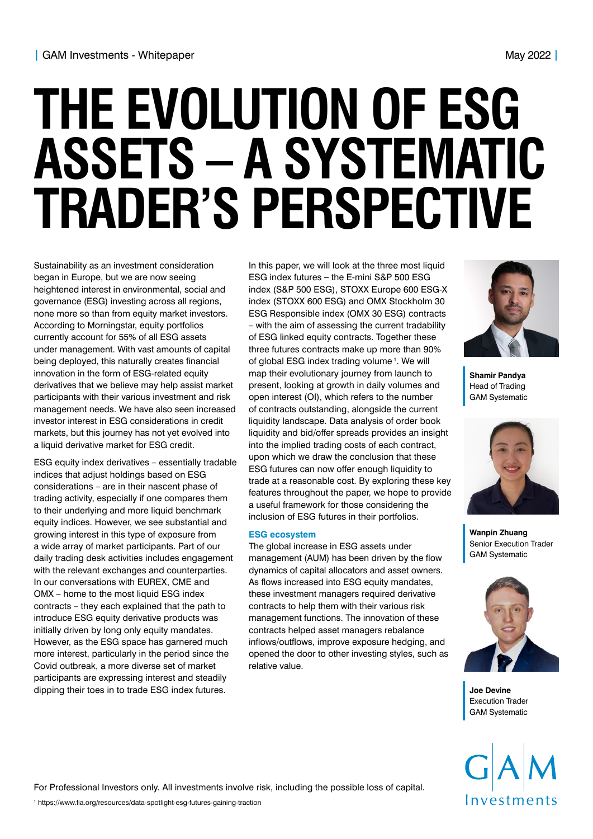# **THE EVOLUTION OF ESG ASSETS – A SYSTEMATIC TRADER'S PERSPECTIVE**

Sustainability as an investment consideration began in Europe, but we are now seeing heightened interest in environmental, social and governance (ESG) investing across all regions, none more so than from equity market investors. According to Morningstar, equity portfolios currently account for 55% of all ESG assets under management. With vast amounts of capital being deployed, this naturally creates financial innovation in the form of ESG-related equity derivatives that we believe may help assist market participants with their various investment and risk management needs. We have also seen increased investor interest in ESG considerations in credit markets, but this journey has not yet evolved into a liquid derivative market for ESG credit.

ESG equity index derivatives – essentially tradable indices that adjust holdings based on ESG considerations – are in their nascent phase of trading activity, especially if one compares them to their underlying and more liquid benchmark equity indices. However, we see substantial and growing interest in this type of exposure from a wide array of market participants. Part of our daily trading desk activities includes engagement with the relevant exchanges and counterparties. In our conversations with EUREX, CME and OMX – home to the most liquid ESG index contracts – they each explained that the path to introduce ESG equity derivative products was initially driven by long only equity mandates. However, as the ESG space has garnered much more interest, particularly in the period since the Covid outbreak, a more diverse set of market participants are expressing interest and steadily dipping their toes in to trade ESG index futures.

In this paper, we will look at the three most liquid ESG index futures **–** the E-mini S&P 500 ESG index (S&P 500 ESG), STOXX Europe 600 ESG-X index (STOXX 600 ESG) and OMX Stockholm 30 ESG Responsible index (OMX 30 ESG) contracts – with the aim of assessing the current tradability of ESG linked equity contracts. Together these three futures contracts make up more than 90% of global ESG index trading volume<sup>1</sup>. We will map their evolutionary journey from launch to present, looking at growth in daily volumes and open interest (OI), which refers to the number of contracts outstanding, alongside the current liquidity landscape. Data analysis of order book liquidity and bid/offer spreads provides an insight into the implied trading costs of each contract, upon which we draw the conclusion that these ESG futures can now offer enough liquidity to trade at a reasonable cost. By exploring these key features throughout the paper, we hope to provide a useful framework for those considering the inclusion of ESG futures in their portfolios.

## **ESG ecosystem**

The global increase in ESG assets under management (AUM) has been driven by the flow dynamics of capital allocators and asset owners. As flows increased into ESG equity mandates, these investment managers required derivative contracts to help them with their various risk management functions. The innovation of these contracts helped asset managers rebalance inflows/outflows, improve exposure hedging, and opened the door to other investing styles, such as relative value.



**Shamir Pandya**  Head of Trading GAM Systematic



**Wanpin Zhuang**  Senior Execution Trader GAM Systematic



**Joe Devine**  Execution Trader GAM Systematic



For Professional Investors only. All investments involve risk, including the possible loss of capital.

1 https://www.fia.org/resources/data-spotlight-esg-futures-gaining-traction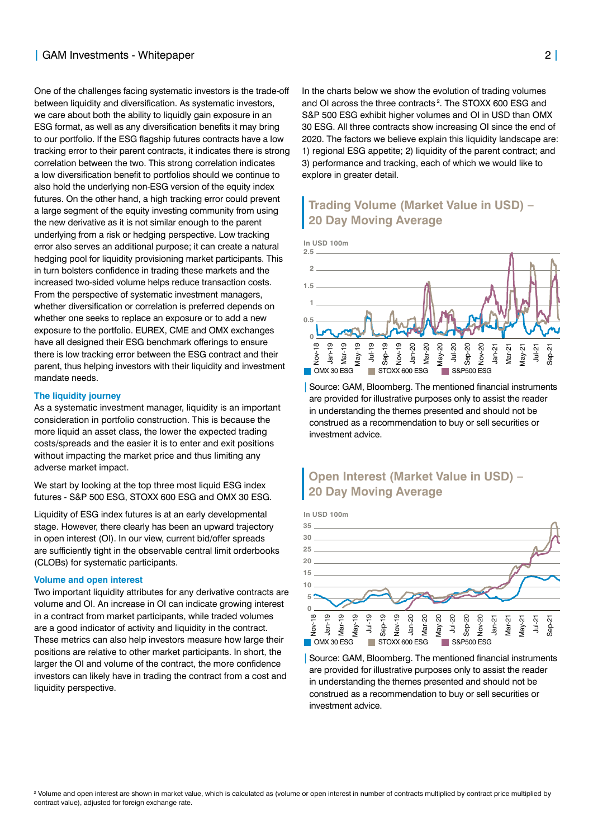## **|** GAM Investments - Whitepaper 2 **|**

One of the challenges facing systematic investors is the trade-off between liquidity and diversification. As systematic investors, we care about both the ability to liquidly gain exposure in an ESG format, as well as any diversification benefits it may bring to our portfolio. If the ESG flagship futures contracts have a low tracking error to their parent contracts, it indicates there is strong correlation between the two. This strong correlation indicates a low diversification benefit to portfolios should we continue to also hold the underlying non-ESG version of the equity index futures. On the other hand, a high tracking error could prevent a large segment of the equity investing community from using the new derivative as it is not similar enough to the parent underlying from a risk or hedging perspective. Low tracking error also serves an additional purpose; it can create a natural hedging pool for liquidity provisioning market participants. This in turn bolsters confidence in trading these markets and the increased two-sided volume helps reduce transaction costs. From the perspective of systematic investment managers, whether diversification or correlation is preferred depends on whether one seeks to replace an exposure or to add a new exposure to the portfolio. EUREX, CME and OMX exchanges have all designed their ESG benchmark offerings to ensure there is low tracking error between the ESG contract and their parent, thus helping investors with their liquidity and investment mandate needs.

#### **The liquidity journey**

As a systematic investment manager, liquidity is an important consideration in portfolio construction. This is because the more liquid an asset class, the lower the expected trading costs/spreads and the easier it is to enter and exit positions without impacting the market price and thus limiting any adverse market impact.

We start by looking at the top three most liquid ESG index futures - S&P 500 ESG, STOXX 600 ESG and OMX 30 ESG.

Liquidity of ESG index futures is at an early developmental stage. However, there clearly has been an upward trajectory in open interest (OI). In our view, current bid/offer spreads are sufficiently tight in the observable central limit orderbooks (CLOBs) for systematic participants.

## **Volume and open interest**

Two important liquidity attributes for any derivative contracts are volume and OI. An increase in OI can indicate growing interest in a contract from market participants, while traded volumes are a good indicator of activity and liquidity in the contract. These metrics can also help investors measure how large their positions are relative to other market participants. In short, the larger the OI and volume of the contract, the more confidence investors can likely have in trading the contract from a cost and liquidity perspective.

In the charts below we show the evolution of trading volumes and OI across the three contracts<sup>2</sup>. The STOXX 600 ESG and S&P 500 ESG exhibit higher volumes and OI in USD than OMX 30 ESG. All three contracts show increasing OI since the end of 2020. The factors we believe explain this liquidity landscape are: 1) regional ESG appetite; 2) liquidity of the parent contract; and 3) performance and tracking, each of which we would like to explore in greater detail.

# **Trading Volume (Market Value in USD) – 20 Day Moving Average**

**In USD 100m**



| Source: GAM, Bloomberg. The mentioned financial instruments are provided for illustrative purposes only to assist the reader in understanding the themes presented and should not be construed as a recommendation to buy or sell securities or investment advice.

# **Open Interest (Market Value in USD) – 20 Day Moving Average**

**In USD 100m**



| Source: GAM, Bloomberg. The mentioned financial instruments are provided for illustrative purposes only to assist the reader in understanding the themes presented and should not be construed as a recommendation to buy or sell securities or investment advice.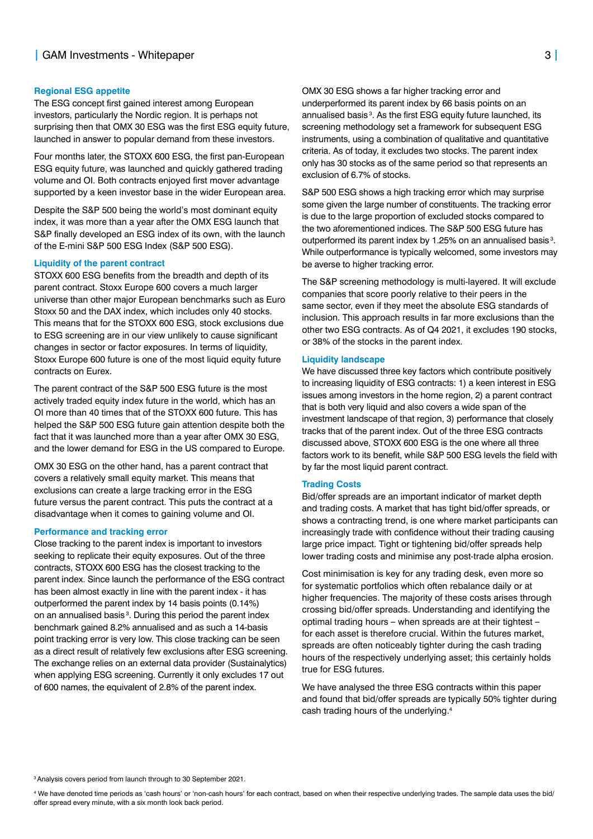#### **Regional ESG appetite**

The ESG concept first gained interest among European investors, particularly the Nordic region. It is perhaps not surprising then that OMX 30 ESG was the first ESG equity future, launched in answer to popular demand from these investors.

Four months later, the STOXX 600 ESG, the first pan-European ESG equity future, was launched and quickly gathered trading volume and OI. Both contracts enjoyed first mover advantage supported by a keen investor base in the wider European area.

Despite the S&P 500 being the world's most dominant equity index, it was more than a year after the OMX ESG launch that S&P finally developed an ESG index of its own, with the launch of the E-mini S&P 500 ESG Index (S&P 500 ESG).

#### **Liquidity of the parent contract**

STOXX 600 ESG benefits from the breadth and depth of its parent contract. Stoxx Europe 600 covers a much larger universe than other major European benchmarks such as Euro Stoxx 50 and the DAX index, which includes only 40 stocks. This means that for the STOXX 600 ESG, stock exclusions due to ESG screening are in our view unlikely to cause significant changes in sector or factor exposures. In terms of liquidity, Stoxx Europe 600 future is one of the most liquid equity future contracts on Eurex.

The parent contract of the S&P 500 ESG future is the most actively traded equity index future in the world, which has an OI more than 40 times that of the STOXX 600 future. This has helped the S&P 500 ESG future gain attention despite both the fact that it was launched more than a year after OMX 30 ESG, and the lower demand for ESG in the US compared to Europe.

OMX 30 ESG on the other hand, has a parent contract that covers a relatively small equity market. This means that exclusions can create a large tracking error in the ESG future versus the parent contract. This puts the contract at a disadvantage when it comes to gaining volume and OI.

#### **Performance and tracking error**

Close tracking to the parent index is important to investors seeking to replicate their equity exposures. Out of the three contracts, STOXX 600 ESG has the closest tracking to the parent index. Since launch the performance of the ESG contract has been almost exactly in line with the parent index - it has outperformed the parent index by 14 basis points (0.14%) on an annualised basis<sup>3</sup>. During this period the parent index benchmark gained 8.2% annualised and as such a 14-basis point tracking error is very low. This close tracking can be seen as a direct result of relatively few exclusions after ESG screening. The exchange relies on an external data provider (Sustainalytics) when applying ESG screening. Currently it only excludes 17 out of 600 names, the equivalent of 2.8% of the parent index.

OMX 30 ESG shows a far higher tracking error and underperformed its parent index by 66 basis points on an annualised basis<sup>3</sup>. As the first ESG equity future launched, its screening methodology set a framework for subsequent ESG instruments, using a combination of qualitative and quantitative criteria. As of today, it excludes two stocks. The parent index only has 30 stocks as of the same period so that represents an exclusion of 6.7% of stocks.

S&P 500 ESG shows a high tracking error which may surprise some given the large number of constituents. The tracking error is due to the large proportion of excluded stocks compared to the two aforementioned indices. The S&P 500 ESG future has outperformed its parent index by 1.25% on an annualised basis<sup>3</sup>. While outperformance is typically welcomed, some investors may be averse to higher tracking error.

The S&P screening methodology is multi-layered. It will exclude companies that score poorly relative to their peers in the same sector, even if they meet the absolute ESG standards of inclusion. This approach results in far more exclusions than the other two ESG contracts. As of Q4 2021, it excludes 190 stocks, or 38% of the stocks in the parent index.

#### **Liquidity landscape**

We have discussed three key factors which contribute positively to increasing liquidity of ESG contracts: 1) a keen interest in ESG issues among investors in the home region, 2) a parent contract that is both very liquid and also covers a wide span of the investment landscape of that region, 3) performance that closely tracks that of the parent index. Out of the three ESG contracts discussed above, STOXX 600 ESG is the one where all three factors work to its benefit, while S&P 500 ESG levels the field with by far the most liquid parent contract.

## **Trading Costs**

Bid/offer spreads are an important indicator of market depth and trading costs. A market that has tight bid/offer spreads, or shows a contracting trend, is one where market participants can increasingly trade with confidence without their trading causing large price impact. Tight or tightening bid/offer spreads help lower trading costs and minimise any post-trade alpha erosion.

Cost minimisation is key for any trading desk, even more so for systematic portfolios which often rebalance daily or at higher frequencies. The majority of these costs arises through crossing bid/offer spreads. Understanding and identifying the optimal trading hours **–** when spreads are at their tightest **–** for each asset is therefore crucial. Within the futures market, spreads are often noticeably tighter during the cash trading hours of the respectively underlying asset; this certainly holds true for ESG futures.

We have analysed the three ESG contracts within this paper and found that bid/offer spreads are typically 50% tighter during cash trading hours of the underlying.4

3 Analysis covers period from launch through to 30 September 2021.

4 We have denoted time periods as 'cash hours' or 'non-cash hours' for each contract, based on when their respective underlying trades. The sample data uses the bid/ offer spread every minute, with a six month look back period.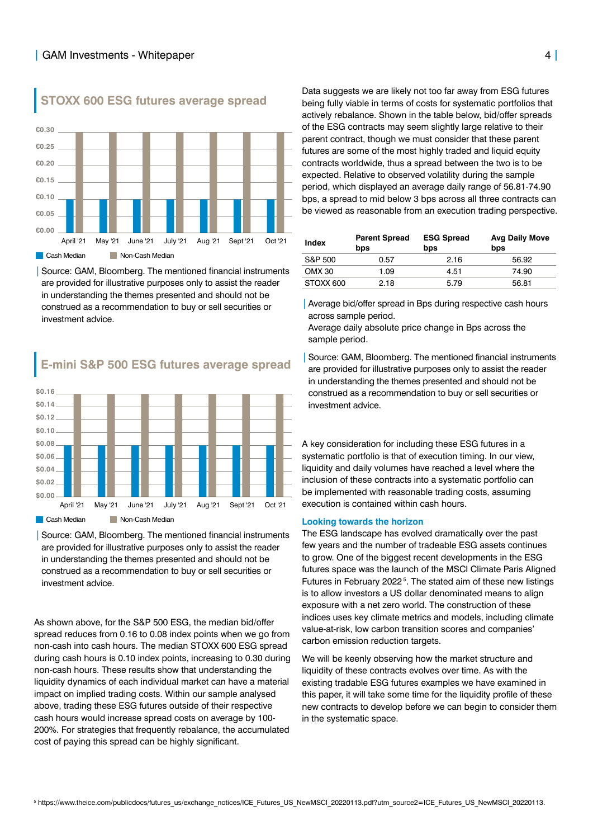

**STOXX 600 ESG futures average spread**

|Source: GAM, Bloomberg. The mentioned financial instruments are provided for illustrative purposes only to assist the reader in understanding the themes presented and should not be construed as a recommendation to buy or sell securities or investment advice.

# **E-mini S&P 500 ESG futures average spread**



|Source: GAM, Bloomberg. The mentioned financial instruments are provided for illustrative purposes only to assist the reader in understanding the themes presented and should not be construed as a recommendation to buy or sell securities or investment advice.

As shown above, for the S&P 500 ESG, the median bid/offer spread reduces from 0.16 to 0.08 index points when we go from non-cash into cash hours. The median STOXX 600 ESG spread during cash hours is 0.10 index points, increasing to 0.30 during non-cash hours. These results show that understanding the liquidity dynamics of each individual market can have a material impact on implied trading costs. Within our sample analysed above, trading these ESG futures outside of their respective cash hours would increase spread costs on average by 100- 200%. For strategies that frequently rebalance, the accumulated cost of paying this spread can be highly significant.

Data suggests we are likely not too far away from ESG futures being fully viable in terms of costs for systematic portfolios that actively rebalance. Shown in the table below, bid/offer spreads of the ESG contracts may seem slightly large relative to their parent contract, though we must consider that these parent futures are some of the most highly traded and liquid equity contracts worldwide, thus a spread between the two is to be expected. Relative to observed volatility during the sample period, which displayed an average daily range of 56.81-74.90 bps, a spread to mid below 3 bps across all three contracts can be viewed as reasonable from an execution trading perspective.

| <b>Index</b> | <b>Parent Spread</b><br>bps | <b>ESG Spread</b><br>bps | <b>Avg Daily Move</b><br>bps |
|--------------|-----------------------------|--------------------------|------------------------------|
| S&P 500      | 0.57                        | 2.16                     | 56.92                        |
| OMX 30       | 1.09                        | 4.51                     | 74.90                        |
| STOXX 600    | 2.18                        | 5.79                     | 56.81                        |

|Average bid/offer spread in Bps during respective cash hours across sample period.

Average daily absolute price change in Bps across the sample period.

Source: GAM, Bloomberg. The mentioned financial instruments are provided for illustrative purposes only to assist the reader in understanding the themes presented and should not be construed as a recommendation to buy or sell securities or investment advice.

A key consideration for including these ESG futures in a systematic portfolio is that of execution timing. In our view, liquidity and daily volumes have reached a level where the inclusion of these contracts into a systematic portfolio can be implemented with reasonable trading costs, assuming execution is contained within cash hours.

#### **Looking towards the horizon**

The ESG landscape has evolved dramatically over the past few years and the number of tradeable ESG assets continues to grow. One of the biggest recent developments in the ESG futures space was the launch of the MSCI Climate Paris Aligned Futures in February 2022<sup>5</sup>. The stated aim of these new listings is to allow investors a US dollar denominated means to align exposure with a net zero world. The construction of these indices uses key climate metrics and models, including climate value-at-risk, low carbon transition scores and companies' carbon emission reduction targets.

We will be keenly observing how the market structure and liquidity of these contracts evolves over time. As with the existing tradable ESG futures examples we have examined in this paper, it will take some time for the liquidity profile of these new contracts to develop before we can begin to consider them in the systematic space.